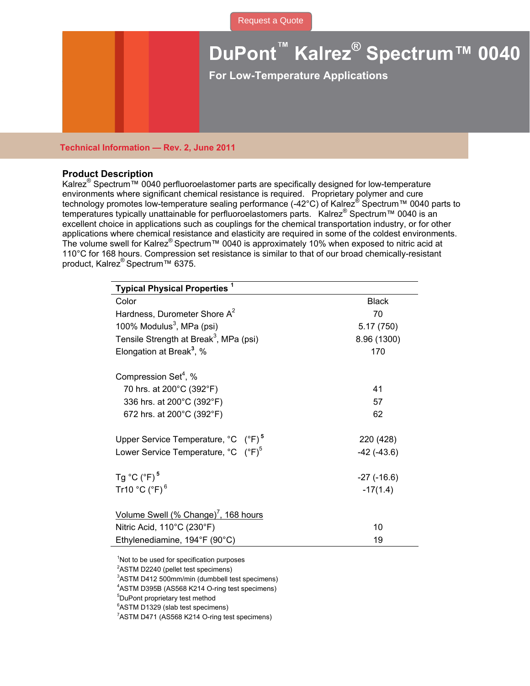## **DuPont™ Kalrez® Spectrum™ 0040**

**For Low-Temperature Applications** 

## **Technical Information — Rev. 2, June 2011**

## **Product Description**

Kalrez<sup>®</sup> Spectrum™ 0040 perfluoroelastomer parts are specifically designed for low-temperature environments where significant chemical resistance is required. Proprietary polymer and cure technology promotes low-temperature sealing performance (-42°C) of Kalrez® Spectrum™ 0040 parts to temperatures typically unattainable for perfluoroelastomers parts. Kalrez® Spectrum™ 0040 is an excellent choice in applications such as couplings for the chemical transportation industry, or for other applications where chemical resistance and elasticity are required in some of the coldest environments. The volume swell for Kalrez® Spectrum™ 0040 is approximately 10% when exposed to nitric acid at 110°C for 168 hours. Compression set resistance is similar to that of our broad chemically-resistant product, Kalrez<sup>®</sup> Spectrum™ 6375.

| <b>Typical Physical Properties<sup>1</sup></b>            |                   |
|-----------------------------------------------------------|-------------------|
| Color                                                     | <b>Black</b>      |
| Hardness, Durometer Shore A <sup>2</sup>                  | 70                |
| 100% Modulus <sup>3</sup> , MPa (psi)                     | 5.17(750)         |
| Tensile Strength at Break <sup>3</sup> , MPa (psi)        | 8.96 (1300)       |
| Elongation at Break <sup>3</sup> , %                      | 170               |
| Compression Set <sup>4</sup> , %                          |                   |
| 70 hrs. at 200°C (392°F)                                  | 41                |
| 336 hrs. at 200°C (392°F)                                 | 57                |
| 672 hrs. at 200°C (392°F)                                 | 62                |
| Upper Service Temperature, °C (°F) <sup>5</sup>           | 220 (428)         |
| Lower Service Temperature, $^{\circ}$ C $(^{\circ}F)^{5}$ | $-42$ $(-43.6)$   |
| Tg $^{\circ}$ C ( $^{\circ}$ F) <sup>5</sup>              | $-27$ ( $-16.6$ ) |
| Tr10 $°C$ ( $°F$ ) $6$                                    | $-17(1.4)$        |
| Volume Swell (% Change) <sup>7</sup> , 168 hours          |                   |
| Nitric Acid, 110°C (230°F)                                | 10                |
| Ethylenediamine, 194°F (90°C)                             | 19                |
|                                                           |                   |

<sup>1</sup>Not to be used for specification purposes

<sup>2</sup>ASTM D2240 (pellet test specimens)

3 ASTM D412 500mm/min (dumbbell test specimens)

4 ASTM D395B (AS568 K214 O-ring test specimens)

5 DuPont proprietary test method

6 ASTM D1329 (slab test specimens)

<sup>7</sup>ASTM D471 (AS568 K214 O-ring test specimens)